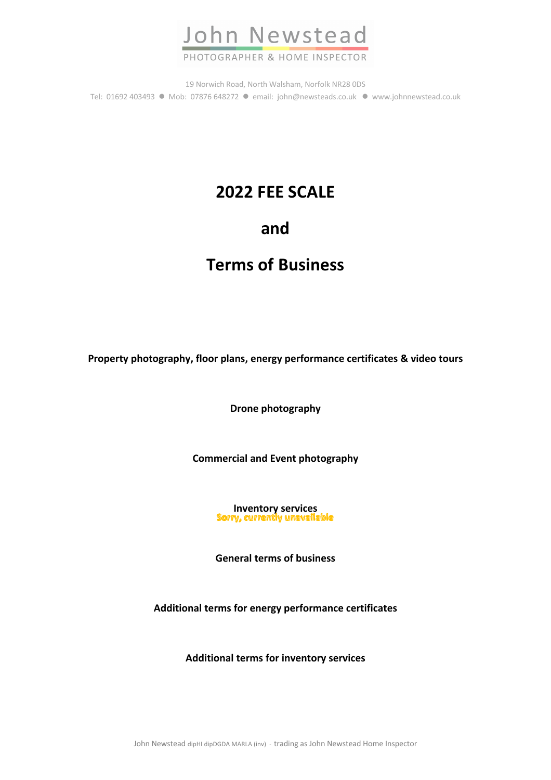

19 Norwich Road, North Walsham, Norfolk NR28 0DS Tel: 01692 403493 · Mob: 07876 648272 · email: john@newsteads.co.uk · www.johnnewstead.co.uk

# **2022 FEE SCALE**

# **and**

# **Terms of Business**

**Property photography, floor plans, energy performance certificates & video tours**

**Drone photography**

**Commercial and Event photography**

**Inventory services**<br>**Sorry, currently unavailable** 

**General terms of business**

**Additional terms for energy performance certificates**

**Additional terms for inventory services**

John Newstead dipHI dipDGDA MARLA (inv) - trading as John Newstead Home Inspector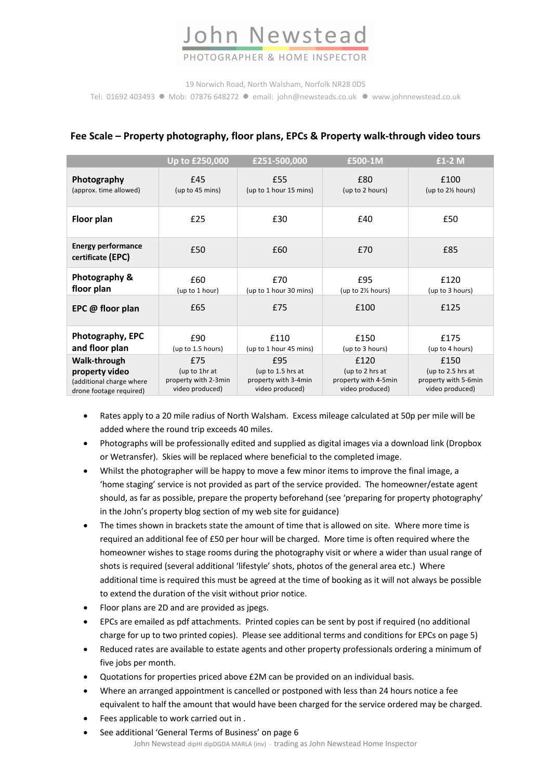# John Newstead

# PHOTOGRAPHER & HOME INSPECTOR

19 Norwich Road, North Walsham, Norfolk NR28 0DS

Tel: 01692 403493 · Mob: 07876 648272 · email: john@newsteads.co.uk · www.johnnewstead.co.uk

|                                                | Up to £250,000       | £251-500,000           | £500-1M              | $£1-2M$              |
|------------------------------------------------|----------------------|------------------------|----------------------|----------------------|
| Photography                                    | £45                  | £55                    | £80                  | £100                 |
| (approx. time allowed)                         | (up to 45 mins)      | (up to 1 hour 15 mins) | (up to 2 hours)      | (up to 2½ hours)     |
| Floor plan                                     | £25                  | £30                    | £40                  | £50                  |
| <b>Energy performance</b><br>certificate (EPC) | £50                  | £60                    | £70                  | £85                  |
| Photography &                                  | £60                  | £70                    | £95                  | £120                 |
| floor plan                                     | (up to 1 hour)       | (up to 1 hour 30 mins) | (up to 2½ hours)     | (up to 3 hours)      |
| EPC @ floor plan                               | £65                  | £75                    | £100                 | £125                 |
| Photography, EPC                               | £90                  | £110                   | £150                 | £175                 |
| and floor plan                                 | (up to 1.5 hours)    | (up to 1 hour 45 mins) | (up to 3 hours)      | (up to 4 hours)      |
| Walk-through                                   | £75                  | £95                    | £120                 | £150                 |
| property video                                 | (up to 1hr at        | (up to $1.5$ hrs at    | (up to 2 hrs at      | (up to 2.5 hrs at    |
| (additional charge where                       | property with 2-3min | property with 3-4min   | property with 4-5min | property with 5-6min |
| drone footage required)                        | video produced)      | video produced)        | video produced)      | video produced)      |

## **Fee Scale – Property photography, floor plans, EPCs & Property walk-through video tours**

• Rates apply to a 20 mile radius of North Walsham. Excess mileage calculated at 50p per mile will be added where the round trip exceeds 40 miles.

- Photographs will be professionally edited and supplied as digital images via a download link (Dropbox or Wetransfer). Skies will be replaced where beneficial to the completed image.
- Whilst the photographer will be happy to move a few minor items to improve the final image, a 'home staging' service is not provided as part of the service provided. The homeowner/estate agent should, as far as possible, prepare the property beforehand (see 'preparing for property photography' in the John's property blog section of my web site for guidance)
- The times shown in brackets state the amount of time that is allowed on site. Where more time is required an additional fee of £50 per hour will be charged. More time is often required where the homeowner wishes to stage rooms during the photography visit or where a wider than usual range of shots is required (several additional 'lifestyle' shots, photos of the general area etc.) Where additional time is required this must be agreed at the time of booking as it will not always be possible to extend the duration of the visit without prior notice.
- Floor plans are 2D and are provided as jpegs.
- EPCs are emailed as pdf attachments. Printed copies can be sent by post if required (no additional charge for up to two printed copies). Please see additional terms and conditions for EPCs on page 5)
- Reduced rates are available to estate agents and other property professionals ordering a minimum of five jobs per month.
- Quotations for properties priced above £2M can be provided on an individual basis.
- Where an arranged appointment is cancelled or postponed with less than 24 hours notice a fee equivalent to half the amount that would have been charged for the service ordered may be charged.
- Fees applicable to work carried out in .
- John Newstead dipHI dipDGDA MARLA (inv) trading as John Newstead Home Inspector • See additional 'General Terms of Business' on page 6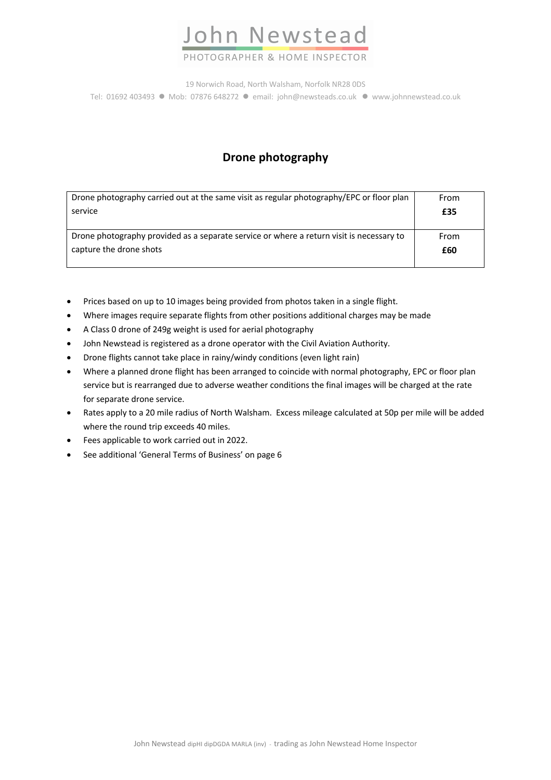

PHOTOGRAPHER & HOME INSPECTOR

19 Norwich Road, North Walsham, Norfolk NR28 0DS Tel: 01692 403493 · Mob: 07876 648272 · email: john@newsteads.co.uk · www.johnnewstead.co.uk

# **Drone photography**

| Drone photography carried out at the same visit as regular photography/EPC or floor plan | From |
|------------------------------------------------------------------------------------------|------|
| service                                                                                  | £35  |
| Drone photography provided as a separate service or where a return visit is necessary to | From |
| capture the drone shots                                                                  | £60  |

- Prices based on up to 10 images being provided from photos taken in a single flight.
- Where images require separate flights from other positions additional charges may be made
- A Class 0 drone of 249g weight is used for aerial photography
- John Newstead is registered as a drone operator with the Civil Aviation Authority.
- Drone flights cannot take place in rainy/windy conditions (even light rain)
- Where a planned drone flight has been arranged to coincide with normal photography, EPC or floor plan service but is rearranged due to adverse weather conditions the final images will be charged at the rate for separate drone service.
- Rates apply to a 20 mile radius of North Walsham. Excess mileage calculated at 50p per mile will be added where the round trip exceeds 40 miles.
- Fees applicable to work carried out in 2022.
- See additional 'General Terms of Business' on page 6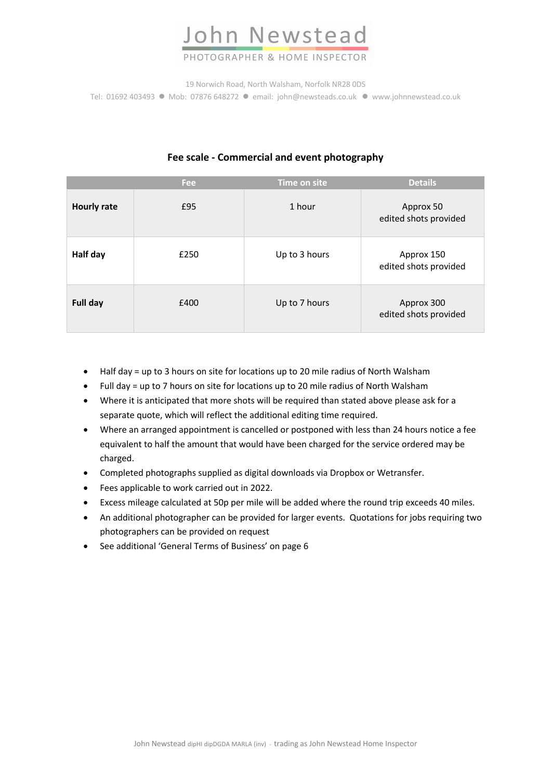

## PHOTOGRAPHER & HOME INSPECTOR

19 Norwich Road, North Walsham, Norfolk NR28 0DS Tel: 01692 403493 · Mob: 07876 648272 · email: john@newsteads.co.uk · www.johnnewstead.co.uk

|                    | Fee  | Time on site  | <b>Details</b>                      |
|--------------------|------|---------------|-------------------------------------|
| <b>Hourly rate</b> | £95  | 1 hour        | Approx 50<br>edited shots provided  |
| Half day           | £250 | Up to 3 hours | Approx 150<br>edited shots provided |
| Full day           | £400 | Up to 7 hours | Approx 300<br>edited shots provided |

## **Fee scale - Commercial and event photography**

- Half day = up to 3 hours on site for locations up to 20 mile radius of North Walsham
- Full day = up to 7 hours on site for locations up to 20 mile radius of North Walsham
- Where it is anticipated that more shots will be required than stated above please ask for a separate quote, which will reflect the additional editing time required.
- Where an arranged appointment is cancelled or postponed with less than 24 hours notice a fee equivalent to half the amount that would have been charged for the service ordered may be charged.
- Completed photographs supplied as digital downloads via Dropbox or Wetransfer.
- Fees applicable to work carried out in 2022.
- Excess mileage calculated at 50p per mile will be added where the round trip exceeds 40 miles.
- An additional photographer can be provided for larger events. Quotations for jobs requiring two photographers can be provided on request
- See additional 'General Terms of Business' on page 6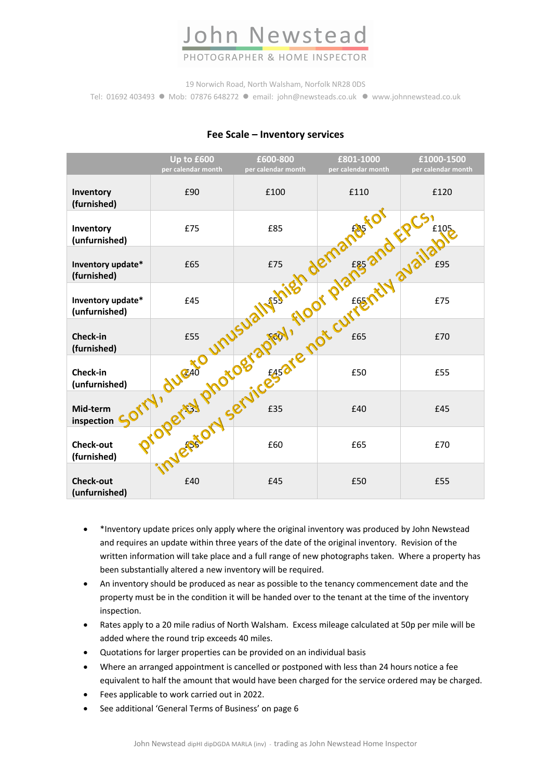

## PHOTOGRAPHER & HOME INSPECTOR

19 Norwich Road, North Walsham, Norfolk NR28 0DS

Tel: 01692 403493 · Mob: 07876 648272 · email: john@newsteads.co.uk · www.johnnewstead.co.uk

|                                    | Up to £600<br>per calendar month | £600-800<br>per calendar month | £801-1000<br>per calendar month                                                                                | £1000-1500<br>per calendar month |
|------------------------------------|----------------------------------|--------------------------------|----------------------------------------------------------------------------------------------------------------|----------------------------------|
| Inventory<br>(furnished)           | £90                              | £100                           | £110                                                                                                           | £120                             |
| Inventory<br>(unfurnished)         |                                  |                                |                                                                                                                | £105                             |
| Inventory update*<br>(furnished)   |                                  |                                |                                                                                                                | £95                              |
| Inventory update*<br>(unfurnished) |                                  |                                | sorry, due to on services at e not cut fentily available to the term of the state of the state of the state of | £75                              |
| <b>Check-in</b><br>(furnished)     |                                  |                                |                                                                                                                | £70                              |
| Check-in<br>(unfurnished)          |                                  |                                |                                                                                                                | £55                              |
| Mid-term<br>inspection             |                                  |                                |                                                                                                                | £45                              |
| <b>Check-out</b><br>(furnished)    |                                  |                                |                                                                                                                | £70                              |
| <b>Check-out</b><br>(unfurnished)  | £40                              | £45                            | £50                                                                                                            | £55                              |

#### **Fee Scale – Inventory services**

- \*Inventory update prices only apply where the original inventory was produced by John Newstead and requires an update within three years of the date of the original inventory. Revision of the written information will take place and a full range of new photographs taken. Where a property has been substantially altered a new inventory will be required.
- An inventory should be produced as near as possible to the tenancy commencement date and the property must be in the condition it will be handed over to the tenant at the time of the inventory inspection.
- Rates apply to a 20 mile radius of North Walsham. Excess mileage calculated at 50p per mile will be added where the round trip exceeds 40 miles.
- Quotations for larger properties can be provided on an individual basis
- Where an arranged appointment is cancelled or postponed with less than 24 hours notice a fee equivalent to half the amount that would have been charged for the service ordered may be charged.
- Fees applicable to work carried out in 2022.
- See additional 'General Terms of Business' on page 6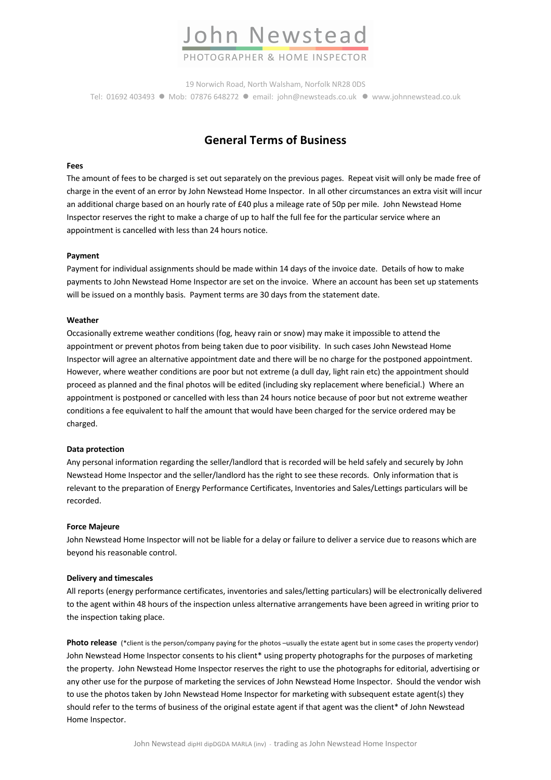

19 Norwich Road, North Walsham, Norfolk NR28 0DS Tel: 01692 403493 ● Mob: 07876 648272 ● email: john@newsteads.co.uk ● www.johnnewstead.co.uk

## **General Terms of Business**

#### **Fees**

The amount of fees to be charged is set out separately on the previous pages. Repeat visit will only be made free of charge in the event of an error by John Newstead Home Inspector. In all other circumstances an extra visit will incur an additional charge based on an hourly rate of £40 plus a mileage rate of 50p per mile. John Newstead Home Inspector reserves the right to make a charge of up to half the full fee for the particular service where an appointment is cancelled with less than 24 hours notice.

#### **Payment**

Payment for individual assignments should be made within 14 days of the invoice date. Details of how to make payments to John Newstead Home Inspector are set on the invoice. Where an account has been set up statements will be issued on a monthly basis. Payment terms are 30 days from the statement date.

#### **Weather**

Occasionally extreme weather conditions (fog, heavy rain or snow) may make it impossible to attend the appointment or prevent photos from being taken due to poor visibility. In such cases John Newstead Home Inspector will agree an alternative appointment date and there will be no charge for the postponed appointment. However, where weather conditions are poor but not extreme (a dull day, light rain etc) the appointment should proceed as planned and the final photos will be edited (including sky replacement where beneficial.) Where an appointment is postponed or cancelled with less than 24 hours notice because of poor but not extreme weather conditions a fee equivalent to half the amount that would have been charged for the service ordered may be charged.

#### **Data protection**

Any personal information regarding the seller/landlord that is recorded will be held safely and securely by John Newstead Home Inspector and the seller/landlord has the right to see these records. Only information that is relevant to the preparation of Energy Performance Certificates, Inventories and Sales/Lettings particulars will be recorded.

#### **Force Majeure**

John Newstead Home Inspector will not be liable for a delay or failure to deliver a service due to reasons which are beyond his reasonable control.

#### **Delivery and timescales**

All reports (energy performance certificates, inventories and sales/letting particulars) will be electronically delivered to the agent within 48 hours of the inspection unless alternative arrangements have been agreed in writing prior to the inspection taking place.

**Photo release** (\*client is the person/company paying for the photos –usually the estate agent but in some cases the property vendor) John Newstead Home Inspector consents to his client\* using property photographs for the purposes of marketing the property. John Newstead Home Inspector reserves the right to use the photographs for editorial, advertising or any other use for the purpose of marketing the services of John Newstead Home Inspector. Should the vendor wish to use the photos taken by John Newstead Home Inspector for marketing with subsequent estate agent(s) they should refer to the terms of business of the original estate agent if that agent was the client\* of John Newstead Home Inspector.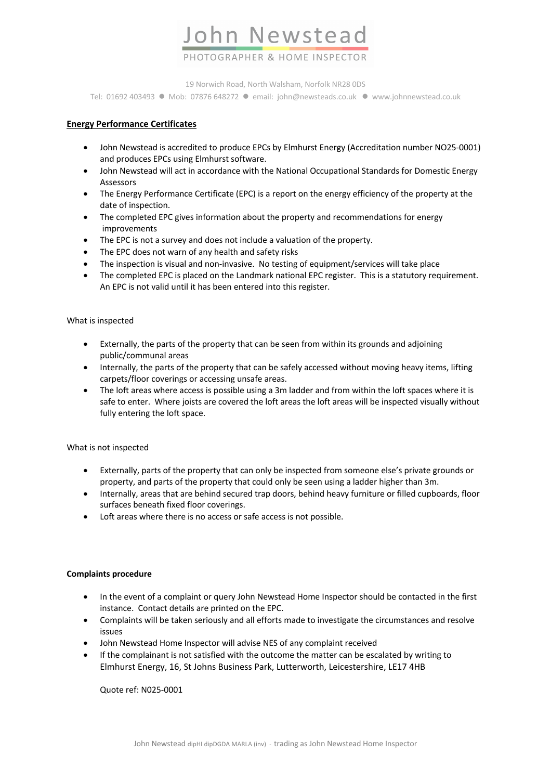

19 Norwich Road, North Walsham, Norfolk NR28 0DS Tel: 01692 403493 · Mob: 07876 648272 · email: john@newsteads.co.uk · www.johnnewstead.co.uk

#### **Energy Performance Certificates**

- John Newstead is accredited to produce EPCs by Elmhurst Energy (Accreditation number NO25-0001) and produces EPCs using Elmhurst software.
- John Newstead will act in accordance with the National Occupational Standards for Domestic Energy Assessors
- The Energy Performance Certificate (EPC) is a report on the energy efficiency of the property at the date of inspection.
- The completed EPC gives information about the property and recommendations for energy improvements
- The EPC is not a survey and does not include a valuation of the property.
- The EPC does not warn of any health and safety risks
- The inspection is visual and non-invasive. No testing of equipment/services will take place
- The completed EPC is placed on the Landmark national EPC register. This is a statutory requirement. An EPC is not valid until it has been entered into this register.

#### What is inspected

- Externally, the parts of the property that can be seen from within its grounds and adjoining public/communal areas
- Internally, the parts of the property that can be safely accessed without moving heavy items, lifting carpets/floor coverings or accessing unsafe areas.
- The loft areas where access is possible using a 3m ladder and from within the loft spaces where it is safe to enter. Where joists are covered the loft areas the loft areas will be inspected visually without fully entering the loft space.

#### What is not inspected

- Externally, parts of the property that can only be inspected from someone else's private grounds or property, and parts of the property that could only be seen using a ladder higher than 3m.
- Internally, areas that are behind secured trap doors, behind heavy furniture or filled cupboards, floor surfaces beneath fixed floor coverings.
- Loft areas where there is no access or safe access is not possible.

#### **Complaints procedure**

- In the event of a complaint or query John Newstead Home Inspector should be contacted in the first instance. Contact details are printed on the EPC.
- Complaints will be taken seriously and all efforts made to investigate the circumstances and resolve issues
- John Newstead Home Inspector will advise NES of any complaint received
- If the complainant is not satisfied with the outcome the matter can be escalated by writing to Elmhurst Energy, 16, St Johns Business Park, Lutterworth, Leicestershire, LE17 4HB

Quote ref: N025-0001